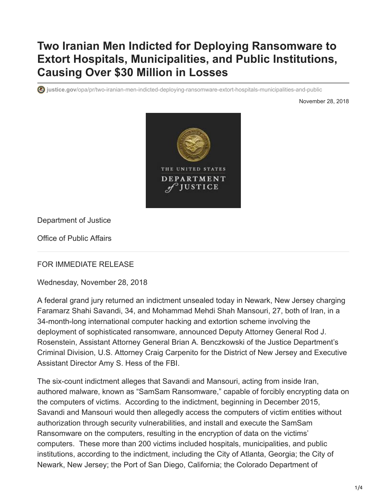## **Two Iranian Men Indicted for Deploying Ransomware to Extort Hospitals, Municipalities, and Public Institutions, Causing Over \$30 Million in Losses**

**justice.gov**[/opa/pr/two-iranian-men-indicted-deploying-ransomware-extort-hospitals-municipalities-and-public](https://www.justice.gov/opa/pr/two-iranian-men-indicted-deploying-ransomware-extort-hospitals-municipalities-and-public)

November 28, 2018



Department of Justice

Office of Public Affairs

FOR IMMEDIATE RELEASE

Wednesday, November 28, 2018

A federal grand jury returned an indictment unsealed today in Newark, New Jersey charging Faramarz Shahi Savandi, 34, and Mohammad Mehdi Shah Mansouri, 27, both of Iran, in a 34-month-long international computer hacking and extortion scheme involving the deployment of sophisticated ransomware, announced Deputy Attorney General Rod J. Rosenstein, Assistant Attorney General Brian A. Benczkowski of the Justice Department's Criminal Division, U.S. Attorney Craig Carpenito for the District of New Jersey and Executive Assistant Director Amy S. Hess of the FBI.

The six-count indictment alleges that Savandi and Mansouri, acting from inside Iran, authored malware, known as "SamSam Ransomware," capable of forcibly encrypting data on the computers of victims. According to the indictment, beginning in December 2015, Savandi and Mansouri would then allegedly access the computers of victim entities without authorization through security vulnerabilities, and install and execute the SamSam Ransomware on the computers, resulting in the encryption of data on the victims' computers. These more than 200 victims included hospitals, municipalities, and public institutions, according to the indictment, including the City of Atlanta, Georgia; the City of Newark, New Jersey; the Port of San Diego, California; the Colorado Department of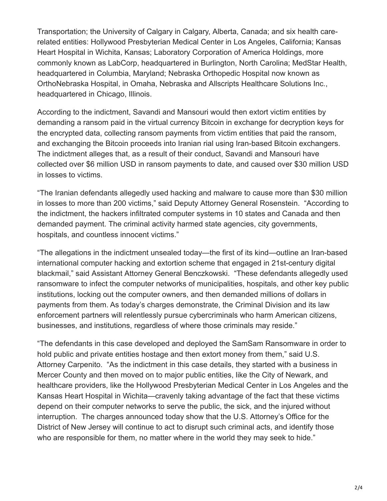Transportation; the University of Calgary in Calgary, Alberta, Canada; and six health carerelated entities: Hollywood Presbyterian Medical Center in Los Angeles, California; Kansas Heart Hospital in Wichita, Kansas; Laboratory Corporation of America Holdings, more commonly known as LabCorp, headquartered in Burlington, North Carolina; MedStar Health, headquartered in Columbia, Maryland; Nebraska Orthopedic Hospital now known as OrthoNebraska Hospital, in Omaha, Nebraska and Allscripts Healthcare Solutions Inc., headquartered in Chicago, Illinois.

According to the indictment, Savandi and Mansouri would then extort victim entities by demanding a ransom paid in the virtual currency Bitcoin in exchange for decryption keys for the encrypted data, collecting ransom payments from victim entities that paid the ransom, and exchanging the Bitcoin proceeds into Iranian rial using Iran-based Bitcoin exchangers. The indictment alleges that, as a result of their conduct, Savandi and Mansouri have collected over \$6 million USD in ransom payments to date, and caused over \$30 million USD in losses to victims.

"The Iranian defendants allegedly used hacking and malware to cause more than \$30 million in losses to more than 200 victims," said Deputy Attorney General Rosenstein. "According to the indictment, the hackers infiltrated computer systems in 10 states and Canada and then demanded payment. The criminal activity harmed state agencies, city governments, hospitals, and countless innocent victims."

"The allegations in the indictment unsealed today—the first of its kind—outline an Iran-based international computer hacking and extortion scheme that engaged in 21st-century digital blackmail," said Assistant Attorney General Benczkowski. "These defendants allegedly used ransomware to infect the computer networks of municipalities, hospitals, and other key public institutions, locking out the computer owners, and then demanded millions of dollars in payments from them. As today's charges demonstrate, the Criminal Division and its law enforcement partners will relentlessly pursue cybercriminals who harm American citizens, businesses, and institutions, regardless of where those criminals may reside."

"The defendants in this case developed and deployed the SamSam Ransomware in order to hold public and private entities hostage and then extort money from them," said U.S. Attorney Carpenito. "As the indictment in this case details, they started with a business in Mercer County and then moved on to major public entities, like the City of Newark, and healthcare providers, like the Hollywood Presbyterian Medical Center in Los Angeles and the Kansas Heart Hospital in Wichita—cravenly taking advantage of the fact that these victims depend on their computer networks to serve the public, the sick, and the injured without interruption. The charges announced today show that the U.S. Attorney's Office for the District of New Jersey will continue to act to disrupt such criminal acts, and identify those who are responsible for them, no matter where in the world they may seek to hide."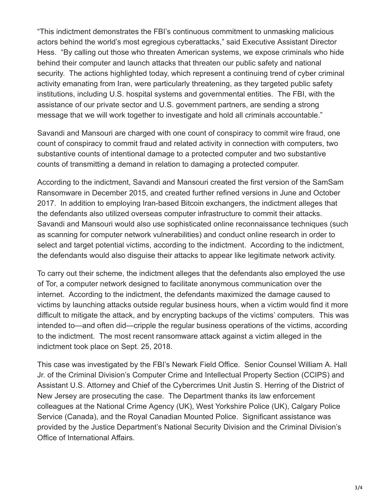"This indictment demonstrates the FBI's continuous commitment to unmasking malicious actors behind the world's most egregious cyberattacks," said Executive Assistant Director Hess. "By calling out those who threaten American systems, we expose criminals who hide behind their computer and launch attacks that threaten our public safety and national security. The actions highlighted today, which represent a continuing trend of cyber criminal activity emanating from Iran, were particularly threatening, as they targeted public safety institutions, including U.S. hospital systems and governmental entities. The FBI, with the assistance of our private sector and U.S. government partners, are sending a strong message that we will work together to investigate and hold all criminals accountable."

Savandi and Mansouri are charged with one count of conspiracy to commit wire fraud, one count of conspiracy to commit fraud and related activity in connection with computers, two substantive counts of intentional damage to a protected computer and two substantive counts of transmitting a demand in relation to damaging a protected computer.

According to the indictment, Savandi and Mansouri created the first version of the SamSam Ransomware in December 2015, and created further refined versions in June and October 2017. In addition to employing Iran-based Bitcoin exchangers, the indictment alleges that the defendants also utilized overseas computer infrastructure to commit their attacks. Savandi and Mansouri would also use sophisticated online reconnaissance techniques (such as scanning for computer network vulnerabilities) and conduct online research in order to select and target potential victims, according to the indictment. According to the indictment, the defendants would also disguise their attacks to appear like legitimate network activity.

To carry out their scheme, the indictment alleges that the defendants also employed the use of Tor, a computer network designed to facilitate anonymous communication over the internet. According to the indictment, the defendants maximized the damage caused to victims by launching attacks outside regular business hours, when a victim would find it more difficult to mitigate the attack, and by encrypting backups of the victims' computers. This was intended to—and often did—cripple the regular business operations of the victims, according to the indictment. The most recent ransomware attack against a victim alleged in the indictment took place on Sept. 25, 2018.

This case was investigated by the FBI's Newark Field Office. Senior Counsel William A. Hall Jr. of the Criminal Division's Computer Crime and Intellectual Property Section (CCIPS) and Assistant U.S. Attorney and Chief of the Cybercrimes Unit Justin S. Herring of the District of New Jersey are prosecuting the case. The Department thanks its law enforcement colleagues at the National Crime Agency (UK), West Yorkshire Police (UK), Calgary Police Service (Canada), and the Royal Canadian Mounted Police. Significant assistance was provided by the Justice Department's National Security Division and the Criminal Division's Office of International Affairs.